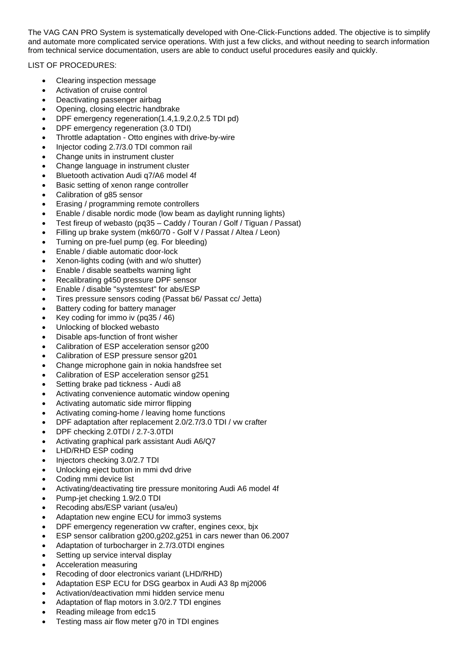The VAG CAN PRO System is systematically developed with One-Click-Functions added. The objective is to simplify and automate more complicated service operations. With just a few clicks, and without needing to search information from technical service documentation, users are able to conduct useful procedures easily and quickly.

LIST OF PROCEDURES:

- Clearing inspection message
- Activation of cruise control
- Deactivating passenger airbag
- Opening, closing electric handbrake
- DPF emergency regeneration(1.4,1.9,2.0,2.5 TDI pd)
- DPF emergency regeneration (3.0 TDI)
- Throttle adaptation Otto engines with drive-by-wire
- Injector coding 2.7/3.0 TDI common rail
- Change units in instrument cluster
- Change language in instrument cluster
- Bluetooth activation Audi q7/A6 model 4f
- Basic setting of xenon range controller
- Calibration of g85 sensor
- Erasing / programming remote controllers
- Enable / disable nordic mode (low beam as daylight running lights)
- Test fireup of webasto (pq35 Caddy / Touran / Golf / Tiguan / Passat)
- Filling up brake system (mk60/70 Golf V / Passat / Altea / Leon)
- Turning on pre-fuel pump (eg. For bleeding)
- Enable / diable automatic door-lock
- Xenon-lights coding (with and w/o shutter)
- Enable / disable seatbelts warning light
- Recalibrating g450 pressure DPF sensor
- Enable / disable "systemtest" for abs/ESP
- Tires pressure sensors coding (Passat b6/ Passat cc/ Jetta)
- Battery coding for battery manager
- Key coding for immo iv (pq35 / 46)
- Unlocking of blocked webasto
- Disable aps-function of front wisher
- Calibration of ESP acceleration sensor g200
- Calibration of ESP pressure sensor g201
- Change microphone gain in nokia handsfree set
- Calibration of ESP acceleration sensor g251
- Setting brake pad tickness Audi a8
- Activating convenience automatic window opening
- Activating automatic side mirror flipping
- Activating coming-home / leaving home functions
- DPF adaptation after replacement 2.0/2.7/3.0 TDI / vw crafter
- DPF checking 2.0TDI / 2.7-3.0TDI
- Activating graphical park assistant Audi A6/Q7
- LHD/RHD ESP coding
- Injectors checking 3.0/2.7 TDI
- Unlocking eject button in mmi dvd drive
- Coding mmi device list
- Activating/deactivating tire pressure monitoring Audi A6 model 4f
- Pump-jet checking 1.9/2.0 TDI
- Recoding abs/ESP variant (usa/eu)
- Adaptation new engine ECU for immo3 systems
- DPF emergency regeneration vw crafter, engines cexx, bjx
- ESP sensor calibration g200,g202,g251 in cars newer than 06.2007
- Adaptation of turbocharger in 2.7/3.0TDI engines
- Setting up service interval display
- Acceleration measuring
- Recoding of door electronics variant (LHD/RHD)
- Adaptation ESP ECU for DSG gearbox in Audi A3 8p mj2006
- Activation/deactivation mmi hidden service menu
- Adaptation of flap motors in 3.0/2.7 TDI engines
- Reading mileage from edc15
- Testing mass air flow meter g70 in TDI engines